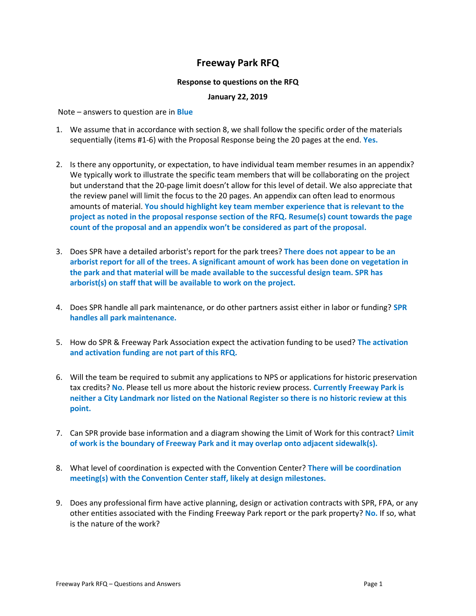## **Freeway Park RFQ**

## **Response to questions on the RFQ**

## **January 22, 2019**

Note – answers to question are in **Blue**

- 1. We assume that in accordance with section 8, we shall follow the specific order of the materials sequentially (items #1-6) with the Proposal Response being the 20 pages at the end. **Yes.**
- 2. Is there any opportunity, or expectation, to have individual team member resumes in an appendix? We typically work to illustrate the specific team members that will be collaborating on the project but understand that the 20-page limit doesn't allow for this level of detail. We also appreciate that the review panel will limit the focus to the 20 pages. An appendix can often lead to enormous amounts of material. **You should highlight key team member experience that is relevant to the project as noted in the proposal response section of the RFQ. Resume(s) count towards the page count of the proposal and an appendix won't be considered as part of the proposal.**
- 3. Does SPR have a detailed arborist's report for the park trees? **There does not appear to be an arborist report for all of the trees. A significant amount of work has been done on vegetation in the park and that material will be made available to the successful design team. SPR has arborist(s) on staff that will be available to work on the project.**
- 4. Does SPR handle all park maintenance, or do other partners assist either in labor or funding? **SPR handles all park maintenance.**
- 5. How do SPR & Freeway Park Association expect the activation funding to be used? **The activation and activation funding are not part of this RFQ.**
- 6. Will the team be required to submit any applications to NPS or applications for historic preservation tax credits? **No**. Please tell us more about the historic review process. **Currently Freeway Park is neither a City Landmark nor listed on the National Register so there is no historic review at this point.**
- 7. Can SPR provide base information and a diagram showing the Limit of Work for this contract? **Limit of work is the boundary of Freeway Park and it may overlap onto adjacent sidewalk(s).**
- 8. What level of coordination is expected with the Convention Center? **There will be coordination meeting(s) with the Convention Center staff, likely at design milestones.**
- 9. Does any professional firm have active planning, design or activation contracts with SPR, FPA, or any other entities associated with the Finding Freeway Park report or the park property? **No.** If so, what is the nature of the work?